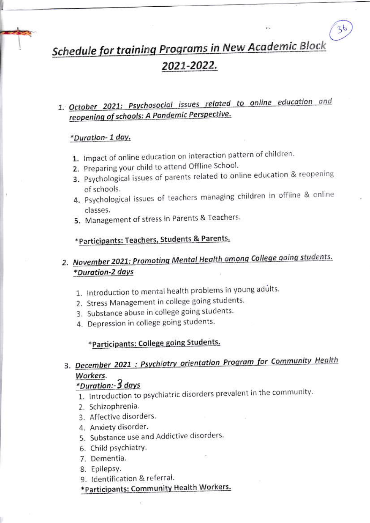### **Schedule for training Programs in New Academic Block** 2021-2022.

#### 1. October 2021: Psychosocial issues related to online education and reopening of schools: A Pandemic Perspective.

#### \*Duration- 1 day.

- 1. Impact of online education on interaction pattern of children.
- 2. Preparing your child to attend Offline School.
- 3. Psychological issues of parents related to online education & reopening of schools.
- 4. Psychological issues of teachers managing children in offline & online classes.
- 5. Management of stress in Parents & Teachers.

#### \*Participants: Teachers, Students & Parents.

#### 2. November 2021: Promoting Mental Health among College going students. \*Duration-2 days

- 1. Introduction to mental health problems in young adults.
- 2. Stress Management in college going students.
- 3. Substance abuse in college going students.
- 4. Depression in college going students.

#### \*Participants: College going Students.

#### 3. December 2021 : Psychiatry orientation Program for Community Health Workers.

#### \*Duration:- 5 days

- 1. Introduction to psychiatric disorders prevalent in the community.
- 2. Schizophrenia.
- 3. Affective disorders.
- 4 Anxiety disorder.
- 5. Substance use and Addictive disorders.
- 6. Child psychiatry.
- 7. Dementia.
- 8. Epilepsy.
- 9. Identification & referral.
- \*Participants: Community Health Workers.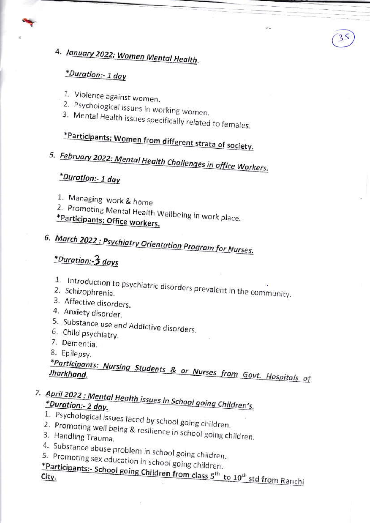# 4. January 2022: Women Mental Health.

#### \*Duration:- 1 day

- 1. Violence against women.
- 2. Psychological issues in working women.
- 3. Mental Health issues specifically related to females.

# \*Participants: Women from different strata of society.

5. February 2022: Mental Health Challenges in office Workers.

#### \*Duration:- 1 day

- 1. Managing work & home
- 2. Promoting Mental Health Wellbeing in work place. \*Participants: Office workers.

# 6. March 2022 : Psychiatry Orientation Program for Nurses.

#### \*Duration: 3 days

- 1. Introduction to psychiatric disorders prevalent in the community.
- 
- 3. Affective disorders.
- 4. Anxiety disorder.
- 5. Substance use and Addictive disorders.
- 6. Child psychiatry.
- 7. Dementia.
- 8. Epilepsy.

#### \*Participants: Nursing Students & or Nurses from Govt. Hospitals of Jharkhand.

#### 7. April 2022 : Mental Health issues in School going Children's. \*Duration:- 2 day.

- 1. Psychological issues faced by school going children.
- 2. Promoting well being & resilience in school going children.
- 3. Handling Trauma.
- 4. Substance abuse problem in school going children.

5. Promoting sex education in school going children.

# \*Participants:- School going Children from class 5<sup>th</sup> to 10<sup>th</sup> std from Ranchi